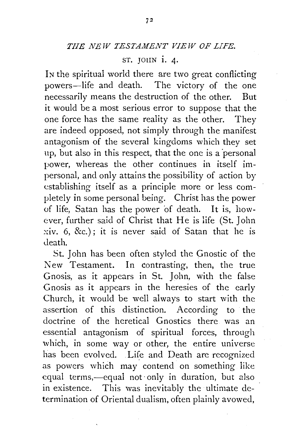$ST.$  JOHN  $i. 4.$ 

IN the spiritual world there are two great conflicting powers-life and death. The victory of the one necessarily means the destruction of the other. But it would be a most serious error to suppose that the one force has the same reality as the other. They are indeed opposed, not simply through the manifest antagonism of the several kingdoms which they set up, but also in this respect, that the one is a 'personal power, whereas the other continues in itself impersonal, and only attains the possibility of action by establishing itself as a principle more or less completely in some personal being. Christ has the power of life, Satan has the power 'of death. It is, however, further said of Christ that He is life (St. John  $xiv.$  6, &c.); it is never said of Satan that he is Jeath.

St. John has been often styled the Gnostic of the New Testament. In contrasting, then, the true Gnosis, as it appears in St. John, with the false Gnosis as it appears in the heresies of the early Church, it would be well always to start with the assertion of this distinction. According to the doctrine of the heretical Gnostics there was an essential antagonism of spiritual forces, through which, in some way or other, the entire universe has been evolved. Life and Death are recognized as powers which may contend on something like equal terms,—equal not only in duration, but also in existence. This was inevitably the ultimate determination of Oriental dualism, often plainly avowed,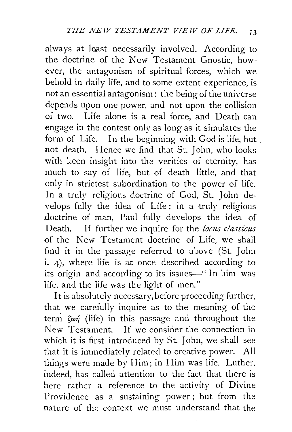always at least necessarily involved. According to the doctrine of the New Testament Gnostic, however, the antagonism of spiritual forces, which we behold in daily life, and to some extent experience, is not an essential antagonism: the being of the universe depends upon one power, and not upon the collision of two. Life alone is a real force, and Death can engage in the contest only as long as it simulates the form of Life. In the beginning with God is life, but not death. Hence we find that St. John, who looks with keen insight into the verities of eternity, has much to say of life, but of death little, and that only in strictest subordination to the power of life. In a truly religious doctrine of God, St. John develops fully the idea of Life; in a truly religious doctrine of man, Paul fully develops the idea of Death. If further we inquire for the *locus classicus*  of the New Testament doctrine of Life, we shall find it in the passage referred to above (St. John i. 4), where life is at once described according to its origin and according to its issues-" In him was life, and the life was the light of men."

It is absolutely necessary, before proceeding further, that we carefully inquire as to the meaning of the term  $\zeta_{\varphi\eta}$  (life) in this passage and throughout the New Testament. If we consider the connection in which it is first introduced by St. John, we shall see that it is immediately related to creative power. All things were made by Him; in Him was life. Luther, indeed, has called attention to the fact that there is here rather *a:* reference to the activity of Divine Providence as a sustaining power; but from the nature of the context we must understand that the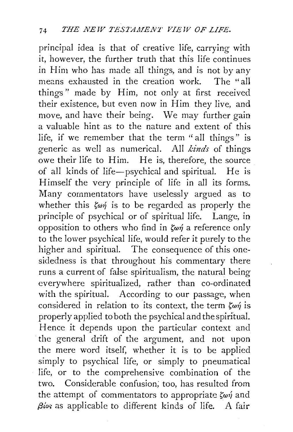principal idea is that of creative life, carrying with it, however, the further truth that this life continues in Him who has made all things, and is not by any means exhausted in the creation work. The "all things" made by Him, not only at first received their existence, but even now in Him they live, and move, and have their being. We may further gain a valuable hint as to the nature and extent of this life, if we remember that the term "all things" is generic as well as numerical. All *kinds* of things owe their life to Him. He is, therefore, the source of all kinds of life-psychical and spiritual. He is Himself the very principle of life in all its forms. Many commentators have uselessly argued as to whether this  $\zeta_{\omega\eta}$  is to be regarded as properly the principle of psychical or of spiritual life. Lange, in opposition to others who find in  $\zeta_{\omega\eta}$  a reference only to the lovver psychical life, would refer it purely to the higher and spiritual. The consequence of this onesidedness is that throughout his commentary there runs a current of false spiritualism, the natural being everywhere spiritualized, rafher than co-ordinated with the spiritual. According to our passage, when considered in relation to its context, the term  $\zeta_{\omega\gamma}$  is properly applied to both the psychical and the spiritual. Hence it depends upon the particular context and the general drift of the argument, and not upon the mere word itself, whether it is to be applied simply to psychical life, or simply to pneumatical life, or to the comprehensive combination of the two. Considerable confusion; too, has resulted from the attempt of commentators to appropriate  $\zeta_{\omega\gamma}$  and *(3ior;* as applicable to different kinds of life. A fair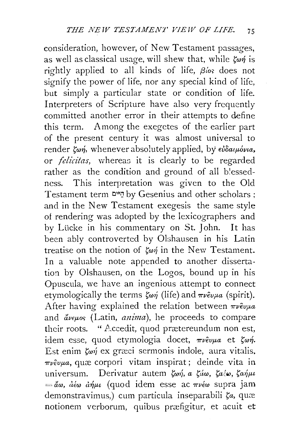consideration, however, of New Testament passages, as well as classical usage, will shew that, while  $\zeta_{\omega\eta}$  is rightly applied to all kinds of life,  $\beta\omega$ ; does not signify the power of life, nor any special kind of life, but simply a particular state or condition of life. Interpreters of Scripture have also very frequently committed another error in their attempts to define this term. Among the exegetes of the earlier part of the present century it was almost universal to render  $\zeta_{\omega\eta}$ , whenever absolutely applied, by  $\epsilon \omega \delta a_i \mu \omega \nu a$ . or *felicitas,* whereas it is clearly to be regarded rather as the condition and ground of all blessedncss. This interpretation was given to the Old Testament term הַיֹּים by Gesenius and other scholars; and in the New Testament exegesis the same style of rendering was adopted by the lexicographers and by Lücke in his commentary on St. John. It has been ably controverted by Olshausen in his Latin treatise on the notion of  $\zeta_{\omega\eta}$  in the New Testament. In a valuable note appended to another dissertation by Olshausen, on the Logos, bound up in his Opuscula, we have an ingenious attempt to connect etymologically the terms  $\zeta_{\omega\eta}$  (life) and  $\pi\nu\epsilon\nu\mu a$  (spirit). After having explained the relation between  $\pi \nu \hat{\epsilon} \nu \mu a$ and avewos (Latin, *anima*), he proceeds to compare their roots. "  $\triangle$  ccedit, quod prætereundum non est, idem esse, quod etymologia docet,  $\pi \nu \partial \nu \mu a$  et  $\zeta \omega \eta$ . Est enim  $\zeta_{\omega\gamma}$  ex graci sermonis indole, aura vitalis,  $\pi\nu\epsilon\nu\mu a$ , quæ corpori vitam inspirat ; deinde vita in universum. Derivatur autem  $\zeta_{\omega\eta}$ , a  $\zeta_{\omega\omega}$ ,  $\zeta_{\alpha\omega}$ ,  $\zeta_{\alpha\eta\mu\iota}$  $=$ ãω,  $d\epsilon\omega$   $d\eta\mu\iota$  (quod idem esse ac  $\pi\nu\epsilon\omega$  supra jam demonstravimus,) cum particula inseparabili  $\zeta_a$ , quæ notionem verborum, quibus przefigitur, et acuit et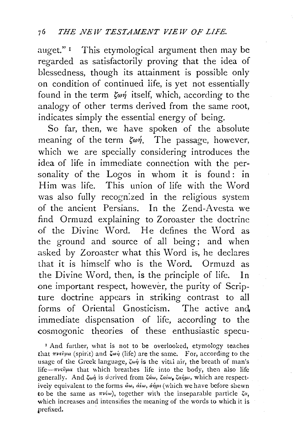auget." $\frac{1}{1}$  This etymological argument then may be regarded as satisfactorily proving that the idea of blessedness, though its attainment is possible only on condition of continued life, is yet not essentially found in the term  $\zeta_{\alpha\gamma}$  itself, which, according to the analogy of other terms derived from the same root, indicates simply the essential energy of being.

So far, then, we have spoken of the absolute meaning of the term  $\zeta \omega \eta$ . The passage, however, which we are specially considering introduces the idea of life in immediate connection with the personality of the Logos in whom it is found: in Him was life. This union of life with the Word was also fully recogn:zed in the religious system of the ancient Persians. In the Zend-Avesta we find Ormuzd explaining to Zoroaster the doctrine of the Divine Word. He defines the Word as the ground and source of all being; and when asked by Zoroaster what this Word is, he declares that it is himself who is the Word. Ormuzd as the Divine Word, then, is the principle of life. In one important respect, however, the purity of Scripture doctrine appears in striking contrast to all forms of Oriental Gnosticism. The active and. immediate dispensation of life, according to the cosmogonic theories of these enthusiastic specu-

' And further, what is not to be overlooked, etymology teaches that  $\pi \nu \tilde{v} \mu a$  (spirit) and  $\zeta \omega \dot{\eta}$  (life) are the same. For, according to the usage of the Greek language,  $\zeta \omega \eta$  is the vital air, the breath of man's life- $\pi \nu \varepsilon \varepsilon \mu a$  that which breathes life into the body, then also life generally. And  $\zeta_{\omega \eta}$  is derived from  $\zeta \dot{\alpha} \omega$ ,  $\zeta_{\alpha \dot{\alpha}} \omega_{\mu}$ , which are respectively equivalent to the forms *ἄω*, *ἀέω*, *ἀήμι* (which we have before shewn to be the same as  $\pi \nu \infty$ , together with the inseparable particle  $\zeta a$ , which increases and intensifies the meaning of the words to which it is prefixed.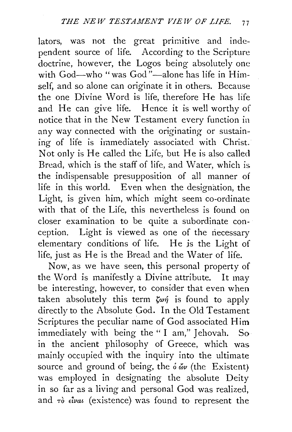lators, was not the great primitive and independent source of life. According to the Scripture doctrine, however, the Logos being absolutely one with God-who "was God"-alone has life in Himself, and so alone can originate it in others. Because the one Divine Word is life, therefore He has life and He can give life. Hence it is well worthy of notice that in the New Testament every function in any way connected with the originating or sustaining of life is immediately associated with Christ. Not only is He called the Life, but He is also called Bread, which is the staff of life, and Water, which is the indispensable presupposition of all manner of life in this world. Even when the designation, the Light, is given him, which might seem co-ordinate with that of the Life, this nevertheless is found on closer examination to be quite a subordinate conception. Light is viewed as one of the necessary elementary conditions of life. He *is* the Light of life, just as He is the Bread and the Water of life.

Now, as we have seen, this personal property of the Word is manifestly a Divine attribute. It may be interesting, however, to consider that even when taken absolutely this term  $\zeta \omega \eta$  is found to apply directly to the Absolute God. In the Old Testament Scriptures the peculiar name of God associated Him immediately with being the " I am," Jehovah. Soin the ancient philosophy of Greece, which was mainly occupied with the inquiry into the ultimate source and ground of being, the  $\delta \phi$  (the Existent) was employed in designating the absolute Deity in so far as a living and personal God was realized, and  $\tau$ ò  $\epsilon \hat{i}$ vai (existence) was found to represent the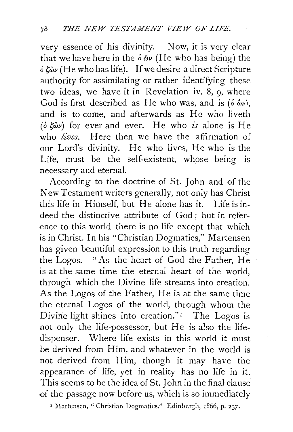very essence of his divinity. Now, it is very clear that we have here in the  $\delta \omega$  (He who has being) the  $\delta \zeta_{\omega \nu}$  (He who has life). If we desire a direct Scripture authority for assimilating or rather identifying these two ideas, we have it in Revelation iv.  $8$ ,  $9$ , where God is first described as He who was, and is  $(\delta \ \hat{\omega}_\nu)$ . and is to come, and afterwards as He who liveth  $(\delta \ \mathcal{E} \hat{\omega} \nu)$  for ever and ever. He who *is* alone is He who *lives.* Here then we have the affirmation of our Lord's divinity. He who lives, He who is the Life, must be the self-existent, whose being is necessary and eternal.

According to the doctrine of St. John and of the New Testament writers generally, not only has Christ this life in Himself, but He alone has it. Life is indeed the distinctive attribute of God ; but in reference to this world there is no life except that which is in Christ. In his "Christian Dogmatics," Martensen has given beautiful expression to this truth regarding the Logos. "As the heart of God the Father, He is at the same time the eternal heart of the world, through which the Divine life streams into creation. As the Logos of the Father, He is at the same time the eternal Logos of the world, through whom the Divine light shines into creation."<sup>1</sup> The Logos is not only the life-possessor, but He is also the lifedispenser. Where life exists in this world it must be derived from Him, and whatever in the world is not derived from Him, though it may have the appearance of life, yet in reality has no life in it. This seems to be the idea of St. John in the final clause of the passage now before us, which is so immediately

' Martensen, "Christian Dogmatics." Edinburgh, r866, p. 237.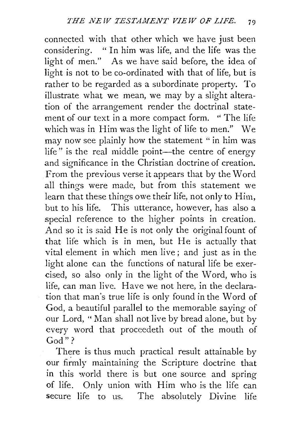connected with that other which we have just been considering. " In him was life, and the life was the light of men." As we have said before, the idea of light is not to be co-ordinated with that of life, but is rather to be regarded as a subordinate property. To illustrate what we mean, we may by a slight alteration of the arrangement render the doctrinal statement of our text in a more compact form. " The life which was in Him was the light of life to men." We may now see plainly how the statement "in him was life" is the real middle point—the centre of energy and significance in the Christian doctrine of creation. From the previous verse it appears that by the Word all things were made, but from this statement we learn that these things owe their life, not only to Him, but to his life. This utterance, however, has also a special reference to the higher points in creation. And so it is said He is not only the original fount of that life which is in men, but He is actually that vital element in which men live; and just as in the light alone can the functions of natural life be exercised, so also only in the light of the \N ord, who is life, can man live. Have we not here, in the declaration that man's true life is only found in the Word of God, a beautiful parallel to the memorable saying of our Lord, "Man shall not live by bread alone, but by every word that proceedeth out of the mouth of God"?

There is thus much practical result attainable by our firmly maintaining the Scripture doctrine that in this world there is but one source and spring of life. Only union with Him who is the life can secure life to us. The absolutely Divine life